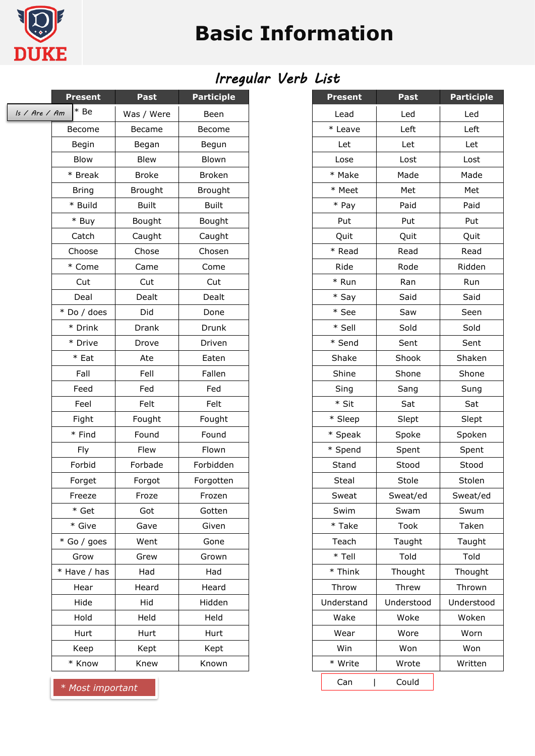

# **Basic Information**

# *Irregular Verb List*

|               | <b>Present</b> | Past           | <b>Participle</b> | <b>Present</b> | Past       | <b>Participle</b> |
|---------------|----------------|----------------|-------------------|----------------|------------|-------------------|
| Is / Are / Am | $*$ Be         | Was / Were     | <b>Been</b>       | Lead           | Led        | Led               |
|               | Become         | Became         | Become            | * Leave        | Left       | Left              |
|               | Begin          | Began          | Begun             | Let            | Let        | Let               |
|               | Blow           | Blew           | Blown             | Lose           | Lost       | Lost              |
|               | * Break        | <b>Broke</b>   | <b>Broken</b>     | * Make         | Made       | Made              |
|               | <b>Bring</b>   | <b>Brought</b> | <b>Brought</b>    | * Meet         | Met        | Met               |
|               | * Build        | <b>Built</b>   | <b>Built</b>      | * Pay          | Paid       | Paid              |
|               | * Buy          | Bought         | Bought            | Put            | Put        | Put               |
|               | Catch          | Caught         | Caught            | Quit           | Quit       | Quit              |
|               | Choose         | Chose          | Chosen            | * Read         | Read       | Read              |
|               | * Come         | Came           | Come              | Ride           | Rode       | Ridden            |
|               | Cut            | Cut            | Cut               | * Run          | Ran        | Run               |
|               | Deal           | Dealt          | Dealt             | * Say          | Said       | Said              |
|               | * Do / does    | Did            | Done              | * See          | Saw        | Seen              |
|               | * Drink        | <b>Drank</b>   | Drunk             | * Sell         | Sold       | Sold              |
|               | * Drive        | Drove          | Driven            | * Send         | Sent       | Sent              |
|               | $*$ Eat        | Ate            | Eaten             | Shake          | Shook      | Shaken            |
|               | Fall           | Fell           | Fallen            | Shine          | Shone      | Shone             |
|               | Feed           | Fed            | Fed               | Sing           | Sang       | Sung              |
|               | Feel           | Felt           | Felt              | $*$ Sit        | Sat        | Sat               |
|               | Fight          | Fought         | Fought            | * Sleep        | Slept      | Slept             |
|               | * Find         | Found          | Found             | * Speak        | Spoke      | Spoken            |
|               | Fly            | Flew           | Flown             | * Spend        | Spent      | Spent             |
|               | Forbid         | Forbade        | Forbidden         | Stand          | Stood      | Stood             |
|               | Forget         | Forgot         | Forgotten         | Steal          | Stole      | Stolen            |
|               | Freeze         | Froze          | Frozen            | Sweat          | Sweat/ed   | Sweat/ed          |
|               | $*$ Get        | Got            | Gotten            | Swim           | Swam       | Swum              |
|               | * Give         | Gave           | Given             | * Take         | Took       | Taken             |
|               | * Go / goes    | Went           | Gone              | Teach          | Taught     | Taught            |
|               | Grow           | Grew           | Grown             | $*$ Tell       | Told       | Told              |
|               | * Have / has   | Had            | Had               | * Think        | Thought    | Thought           |
|               | Hear           | Heard          | Heard             | Throw          | Threw      | Thrown            |
|               | Hide           | Hid            | Hidden            | Understand     | Understood | Understood        |
|               | Hold           | Held           | Held              | Wake           | Woke       | Woken             |
|               | Hurt           | Hurt           | Hurt              | Wear           | Wore       | Worn              |
|               | Keep           | Kept           | Kept              | Win            | Won        | Won               |
|               | * Know         | Knew           | Known             | * Write        | Wrote      | Written           |

*\* Most important*

| <u>esent</u>      | Past         | <b>Participle</b> |
|-------------------|--------------|-------------------|
| * Be              | Was / Were   | Been              |
| ecome             | Became       | Become            |
| Begin             | Began        | Begun             |
| Blow              | Blew         | Blown             |
| <b>Break</b>      | <b>Broke</b> | <b>Broken</b>     |
| <b>Bring</b>      | Brought      | Brought           |
| <b>Build</b>      | <b>Built</b> | <b>Built</b>      |
| <sup>k</sup> Buy  | Bought       | Bought            |
| Catch             | Caught       | Caught            |
| hoose             | Chose        | Chosen            |
| Come              | Came         | Come              |
| Cut               | Cut          | Cut               |
| Deal              | Dealt        | Dealt             |
| o / does          | Did          | Done              |
| Drink             | Drank        | Drunk             |
| Drive             | Drove        | Driven            |
| $*$ Eat           | Ate          | Eaten             |
| Fall              | Fell         | Fallen            |
| Feed              | Fed          | Fed               |
| Feel              | Felt         | Felt              |
| Fight             | Fought       | Fought            |
| Find              | Found        | Found             |
| Fly               | Flew         | Flown             |
| orbid             | Forbade      | Forbidden         |
| orget             | Forgot       | Forgotten         |
| reeze             | Froze        | Frozen            |
| $*$ Get           | Got          | Gotten            |
| <sup>:</sup> Give | Gave         | Given             |
| o / goes          | Went         | Gone              |
| Grow              | Grew         | Grown             |
| ve / has          | Had          | Had               |
| Hear              | Heard        | Heard             |
| Hide              | Hid          | Hidden            |
| Hold              | Held         | Held              |
| Hurt              | Hurt         | Hurt              |
| Keep              | Kept         | Kept              |
| Know              | Knew         | Known             |
|                   |              |                   |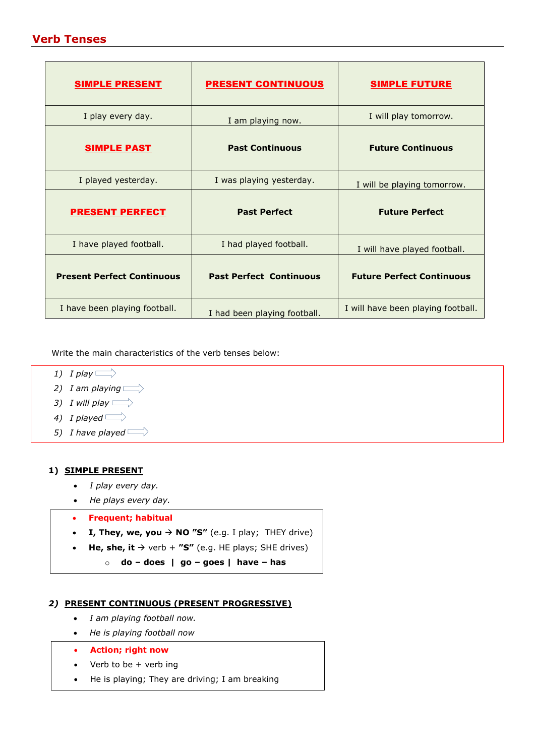### **Verb Tenses**

| <b>SIMPLE PRESENT</b>             | <b>PRESENT CONTINUOUS</b>      | <b>SIMPLE FUTURE</b>               |
|-----------------------------------|--------------------------------|------------------------------------|
| I play every day.                 | I am playing now.              | I will play tomorrow.              |
| <b>SIMPLE PAST</b>                | <b>Past Continuous</b>         | <b>Future Continuous</b>           |
| I played yesterday.               | I was playing yesterday.       | I will be playing tomorrow.        |
| <b>PRESENT PERFECT</b>            | <b>Past Perfect</b>            | <b>Future Perfect</b>              |
| I have played football.           | I had played football.         | I will have played football.       |
| <b>Present Perfect Continuous</b> | <b>Past Perfect Continuous</b> | <b>Future Perfect Continuous</b>   |
| I have been playing football.     | I had been playing football.   | I will have been playing football. |

Write the main characteristics of the verb tenses below:

- *1) I play*
- *2) I am playing*
- *3) I will play*
- *4) I played*
- *5) I have played*

#### **1) SIMPLE PRESENT**

- *I play every day.*
- *He plays every day.*
- **Frequent; habitual**
- **I, They, we, you**  $\rightarrow$  **NO**  $\frac{H-S}{I}$  (e.g. I play; THEY drive)
- **He, she, it**  $\rightarrow$  verb + "S" (e.g. HE plays; SHE drives)
	- o **do – does | go – goes | have – has**

#### *2)* **PRESENT CONTINUOUS (PRESENT PROGRESSIVE)**

- *I am playing football now.*
- *He is playing football now*
- **Action; right now**
- $\bullet$  Verb to be + verb ing
- He is playing; They are driving; I am breaking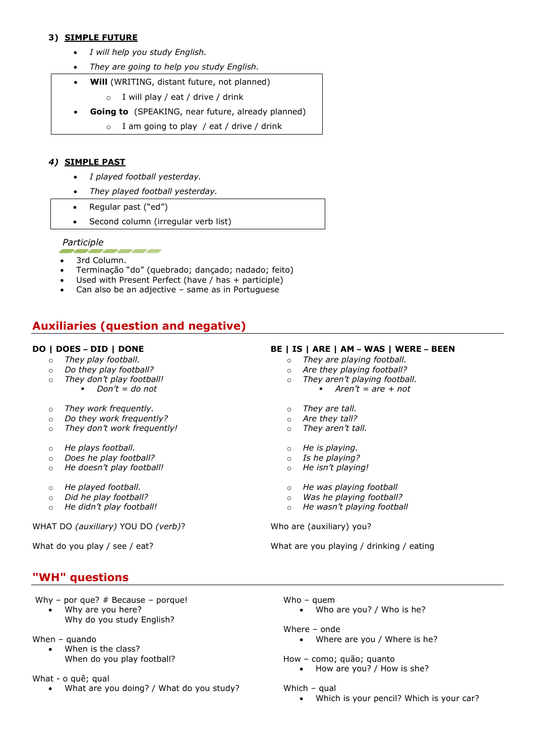#### **3) SIMPLE FUTURE**

- *I will help you study English.*
- *They are going to help you study English.*
- **Will** (WRITING, distant future, not planned)
	- o I will play / eat / drive / drink
- **Going to** (SPEAKING, near future, already planned)
	- $\circ$  I am going to play / eat / drive / drink

#### *4)* **SIMPLE PAST**

- *I played football yesterday.*
- *They played football yesterday.*
- Regular past ("ed")
- Second column (irregular verb list)

#### *Participle*

- 3rd Column.
- Terminação "do" (quebrado; dançado; nadado; feito)
- Used with Present Perfect (have  $\overline{I}$  has + participle)
- Can also be an adjective same as in Portuguese

### **Auxiliaries (question and negative)**

#### **DO | DOES** – **DID | DONE**

- o *They play football.*
- o *Do they play football?*
- o *They don't play football!* ▪ *Don't = do not*
- o *They work frequently.*
- o *Do they work frequently?*
- o *They don't work frequently!*
- o *He plays football.*
- o *Does he play football?*
- o *He doesn't play football!*
- o *He played football.*
- o *Did he play football?*
- o *He didn't play football!*

WHAT DO *(auxiliary)* YOU DO *(verb)*?

What do you play / see / eat?

#### **"WH" questions**

- Why por que?  $#$  Because porque!
	- Why are you here? Why do you study English?
- When quando
	- When is the class? When do you play football?
- What o quê; qual
	- What are you doing? / What do you study?

#### **BE | IS | ARE | AM** – **WAS | WERE** – **BEEN**

- o *They are playing football.*
- o *Are they playing football?*
- o *They aren't playing football.* ▪ *Aren't = are + not*
- o *They are tall.*
- o *Are they tall?*
- o *They aren't tall.*
- o *He is playing.*
- o *Is he playing?*
- o *He isn't playing!*
- o *He was playing football*
- o *Was he playing football?*
- o *He wasn't playing football*

Who are (auxiliary) you?

What are you playing / drinking / eating

- Who quem
	- Who are you? / Who is he?
- Where onde
	- Where are you / Where is he?
- How como; quão; quanto
	- How are you? / How is she?
- Which qual
	- Which is your pencil? Which is your car?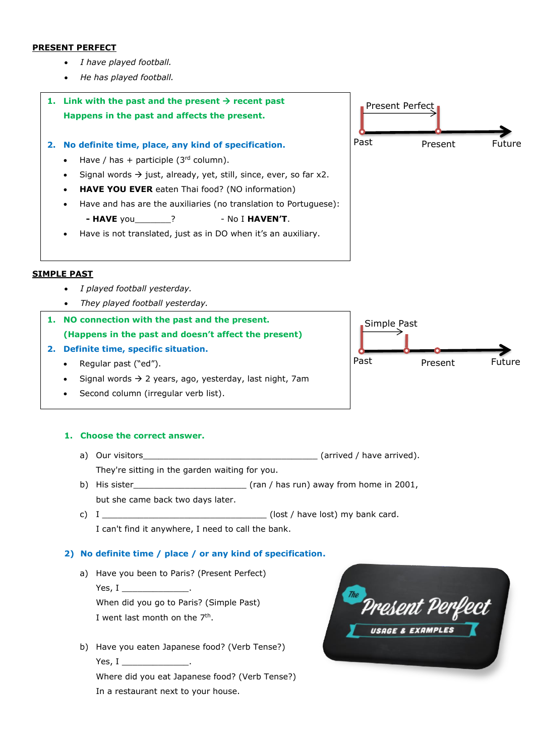#### **PRESENT PERFECT**

- *I have played football.*
- *He has played football.*



#### **SIMPLE PAST**

- *I played football yesterday.*
- *They played football yesterday.*
- **1. NO connection with the past and the present. (Happens in the past and doesn't affect the present)**
- **2. Definite time, specific situation.**
	- Regular past ("ed").
	- Signal words  $\rightarrow$  2 years, ago, yesterday, last night, 7am
	- Second column (irregular verb list).

#### **1. Choose the correct answer.**

- a) Our visitors\_\_\_\_\_\_\_\_\_\_\_\_\_\_\_\_\_\_\_\_\_\_\_\_\_\_\_\_\_\_\_\_\_\_ (arrived / have arrived). They're sitting in the garden waiting for you.
- b) His sister\_\_\_\_\_\_\_\_\_\_\_\_\_\_\_\_\_\_\_\_\_\_ (ran / has run) away from home in 2001, but she came back two days later.
- c) I \_\_\_\_\_\_\_\_\_\_\_\_\_\_\_\_\_\_\_\_\_\_\_\_\_\_\_\_\_\_\_\_ (lost / have lost) my bank card. I can't find it anywhere, I need to call the bank.

#### **2) No definite time / place / or any kind of specification.**

- a) Have you been to Paris? (Present Perfect) Yes,  $I_{\perp}$  . When did you go to Paris? (Simple Past) I went last month on the 7<sup>th</sup>.
- b) Have you eaten Japanese food? (Verb Tense?) Yes, I \_\_\_\_\_\_\_\_\_\_\_\_\_.

Where did you eat Japanese food? (Verb Tense?) In a restaurant next to your house.



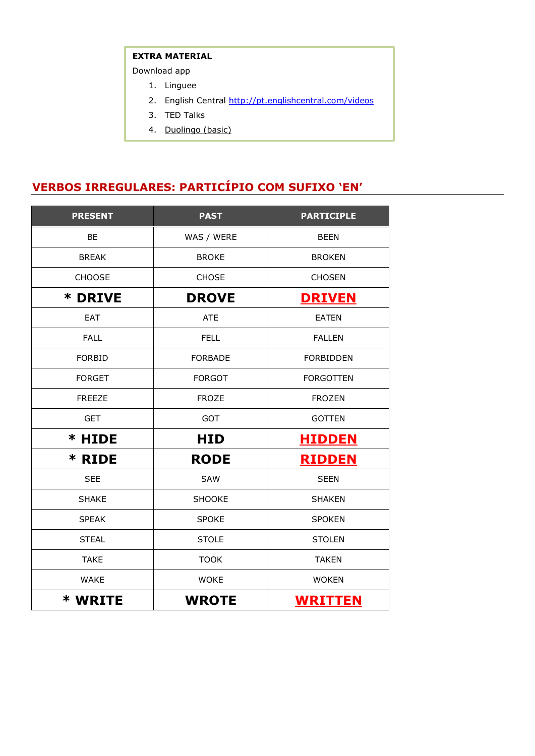#### **EXTRA MATERIAL**

Download app

- 1. Linguee
- 2. English Central <http://pt.englishcentral.com/videos>
- 3. TED Talks
- 4. Duolingo (basic)

# **VERBOS IRREGULARES: PARTICÍPIO COM SUFIXO 'EN'**

| <b>PRESENT</b> | <b>PAST</b>    | <b>PARTICIPLE</b> |
|----------------|----------------|-------------------|
| <b>BE</b>      | WAS / WERE     | <b>BEEN</b>       |
| <b>BREAK</b>   | <b>BROKE</b>   | <b>BROKEN</b>     |
| <b>CHOOSE</b>  | <b>CHOSE</b>   | <b>CHOSEN</b>     |
| * DRIVE        | <b>DROVE</b>   | <b>DRIVEN</b>     |
| EAT            | <b>ATE</b>     | <b>EATEN</b>      |
| <b>FALL</b>    | <b>FELL</b>    | <b>FALLEN</b>     |
| <b>FORBID</b>  | <b>FORBADE</b> | <b>FORBIDDEN</b>  |
| <b>FORGET</b>  | <b>FORGOT</b>  | <b>FORGOTTEN</b>  |
| <b>FREEZE</b>  | <b>FROZE</b>   | <b>FROZEN</b>     |
| <b>GET</b>     | <b>GOT</b>     | <b>GOTTEN</b>     |
| * HIDE         | <b>HID</b>     | <u>HIDDEN</u>     |
| * RIDE         | <b>RODE</b>    | <b>RIDDEN</b>     |
| <b>SEE</b>     | <b>SAW</b>     | <b>SEEN</b>       |
| <b>SHAKE</b>   | <b>SHOOKE</b>  | <b>SHAKEN</b>     |
| <b>SPEAK</b>   | <b>SPOKE</b>   | <b>SPOKEN</b>     |
| <b>STEAL</b>   | <b>STOLE</b>   | <b>STOLEN</b>     |
| <b>TAKE</b>    | <b>TOOK</b>    | <b>TAKEN</b>      |
| <b>WAKE</b>    | <b>WOKE</b>    | <b>WOKEN</b>      |
| * WRITE        | <b>WROTE</b>   | <b>WRITTEN</b>    |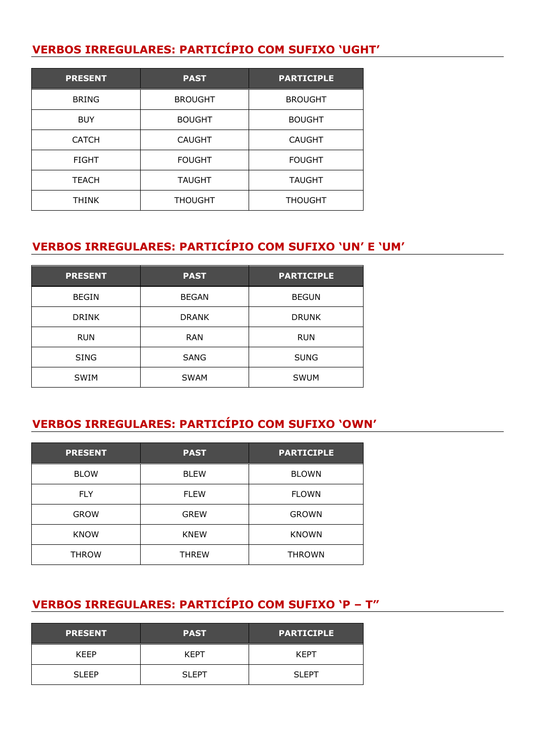# **VERBOS IRREGULARES: PARTICÍPIO COM SUFIXO 'UGHT'**

| <b>PRESENT</b> | <b>PAST</b>    | <b>PARTICIPLE</b> |
|----------------|----------------|-------------------|
| <b>BRING</b>   | <b>BROUGHT</b> | <b>BROUGHT</b>    |
| <b>BUY</b>     | <b>BOUGHT</b>  | <b>BOUGHT</b>     |
| <b>CATCH</b>   | <b>CAUGHT</b>  | <b>CAUGHT</b>     |
| <b>FIGHT</b>   | <b>FOUGHT</b>  | <b>FOUGHT</b>     |
| <b>TEACH</b>   | <b>TAUGHT</b>  | <b>TAUGHT</b>     |
| <b>THINK</b>   | <b>THOUGHT</b> | <b>THOUGHT</b>    |

### **VERBOS IRREGULARES: PARTICÍPIO COM SUFIXO 'UN' E 'UM'**

| <b>PRESENT</b> | <b>PAST</b>                  | <b>PARTICIPLE</b> |
|----------------|------------------------------|-------------------|
| <b>BEGIN</b>   | <b>BEGAN</b>                 | <b>BEGUN</b>      |
| <b>DRINK</b>   | <b>DRANK</b><br><b>DRUNK</b> |                   |
| <b>RUN</b>     | <b>RAN</b>                   | <b>RUN</b>        |
| <b>SING</b>    | <b>SANG</b>                  | <b>SUNG</b>       |
| <b>SWIM</b>    | <b>SWAM</b>                  | <b>SWUM</b>       |

## **VERBOS IRREGULARES: PARTICÍPIO COM SUFIXO 'OWN'**

| <b>PRESENT</b> | <b>PAST</b>  | <b>PARTICIPLE</b> |
|----------------|--------------|-------------------|
| <b>BLOW</b>    | <b>BLEW</b>  | <b>BLOWN</b>      |
| <b>FLY</b>     | <b>FLEW</b>  | <b>FLOWN</b>      |
| <b>GROW</b>    | <b>GREW</b>  | <b>GROWN</b>      |
| <b>KNOW</b>    | <b>KNEW</b>  | <b>KNOWN</b>      |
| <b>THROW</b>   | <b>THREW</b> | <b>THROWN</b>     |

### **VERBOS IRREGULARES: PARTICÍPIO COM SUFIXO 'P – T"**

| <b>PRESENT</b> | <b>PAST</b> | <b>PARTICIPLE</b> |
|----------------|-------------|-------------------|
| <b>KFFP</b>    | <b>KFPT</b> | <b>KFPT</b>       |
| <b>SLEEP</b>   | SI FPT      | SI FPT            |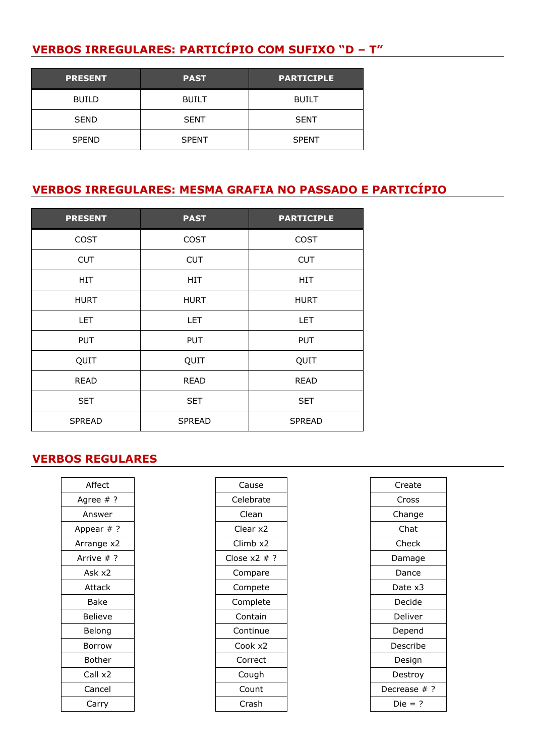# **VERBOS IRREGULARES: PARTICÍPIO COM SUFIXO "D – T"**

| <b>PRESENT</b> | <b>PAST</b>  | <b>PARTICIPLE</b> |
|----------------|--------------|-------------------|
| <b>BUILD</b>   | <b>BUILT</b> | <b>BUILT</b>      |
| <b>SEND</b>    | <b>SENT</b>  | <b>SENT</b>       |
| <b>SPEND</b>   | <b>SPENT</b> | <b>SPENT</b>      |

# **VERBOS IRREGULARES: MESMA GRAFIA NO PASSADO E PARTICÍPIO**

| <b>PRESENT</b> | <b>PAST</b>   | <b>PARTICIPLE</b> |
|----------------|---------------|-------------------|
| <b>COST</b>    | <b>COST</b>   | COST              |
| <b>CUT</b>     | <b>CUT</b>    | <b>CUT</b>        |
| <b>HIT</b>     | <b>HIT</b>    | HIT               |
| <b>HURT</b>    | <b>HURT</b>   | <b>HURT</b>       |
| <b>LET</b>     | <b>LET</b>    | <b>LET</b>        |
| <b>PUT</b>     | <b>PUT</b>    | <b>PUT</b>        |
| QUIT           | QUIT          | QUIT              |
| <b>READ</b>    | <b>READ</b>   | <b>READ</b>       |
| <b>SET</b>     | <b>SET</b>    | <b>SET</b>        |
| <b>SPREAD</b>  | <b>SPREAD</b> | <b>SPREAD</b>     |

### **VERBOS REGULARES**

| Affect       |
|--------------|
| Agree $#$ ?  |
| Answer       |
| Appear # ?   |
| Arrange x2   |
| Arrive $#$ ? |
| Ask x2       |
| Attack       |
| Bake         |
| Believe      |
| Belona       |
| Borrow       |
| Bother       |
| Call x2      |
| Cancel       |
| Carry        |

| Affect         | Cause           | Create         |
|----------------|-----------------|----------------|
| Agree $#$ ?    | Celebrate       | Cross          |
| Answer         | Clean           | Change         |
| Appear # ?     | Clear x2        | Chat           |
| Arrange x2     | Climb x2        | Check          |
| Arrive $#$ ?   | Close $x2 \#$ ? | Damage         |
| Ask x2         | Compare         | Dance          |
| Attack         | Compete         | Date x3        |
| Bake           | Complete        | Decide         |
| <b>Believe</b> | Contain         | <b>Deliver</b> |
| Belong         | Continue        | Depend         |
| Borrow         | Cook x2         | Describe       |
| <b>Bother</b>  | Correct         | Design         |
| Call x2        | Cough           | Destroy        |
| Cancel         | Count           | Decrease # ?   |
| Carry          | Crash           | $Die = ?$      |
|                |                 |                |

| Create       |  |
|--------------|--|
| Cross        |  |
| Change       |  |
| Chat         |  |
| Check        |  |
| Damage       |  |
| Dance        |  |
| Date x3      |  |
| Decide       |  |
| Deliver      |  |
| Depend       |  |
| Describe     |  |
| Design       |  |
| Destroy      |  |
| Decrease # ? |  |
| Die = ?      |  |
|              |  |